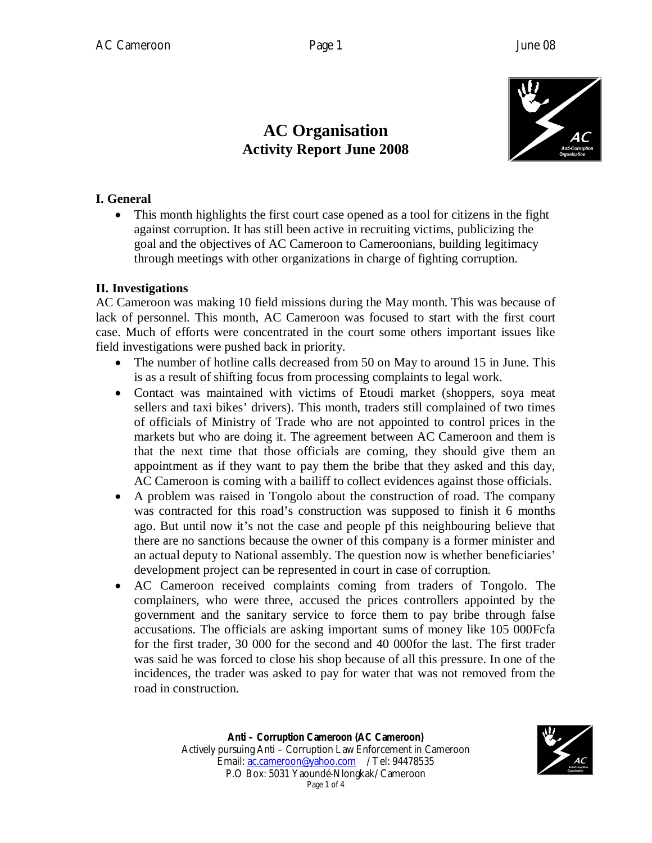### **AC Organisation Activity Report June 2008**



#### **I. General**

 This month highlights the first court case opened as a tool for citizens in the fight against corruption. It has still been active in recruiting victims, publicizing the goal and the objectives of AC Cameroon to Cameroonians, building legitimacy through meetings with other organizations in charge of fighting corruption.

#### **II. Investigations**

AC Cameroon was making 10 field missions during the May month. This was because of lack of personnel. This month, AC Cameroon was focused to start with the first court case. Much of efforts were concentrated in the court some others important issues like field investigations were pushed back in priority.

- The number of hotline calls decreased from 50 on May to around 15 in June. This is as a result of shifting focus from processing complaints to legal work.
- Contact was maintained with victims of Etoudi market (shoppers, soya meat sellers and taxi bikes' drivers). This month, traders still complained of two times of officials of Ministry of Trade who are not appointed to control prices in the markets but who are doing it. The agreement between AC Cameroon and them is that the next time that those officials are coming, they should give them an appointment as if they want to pay them the bribe that they asked and this day, AC Cameroon is coming with a bailiff to collect evidences against those officials.
- A problem was raised in Tongolo about the construction of road. The company was contracted for this road's construction was supposed to finish it 6 months ago. But until now it's not the case and people pf this neighbouring believe that there are no sanctions because the owner of this company is a former minister and an actual deputy to National assembly. The question now is whether beneficiaries' development project can be represented in court in case of corruption.
- AC Cameroon received complaints coming from traders of Tongolo. The complainers, who were three, accused the prices controllers appointed by the government and the sanitary service to force them to pay bribe through false accusations. The officials are asking important sums of money like 105 000Fcfa for the first trader, 30 000 for the second and 40 000for the last. The first trader was said he was forced to close his shop because of all this pressure. In one of the incidences, the trader was asked to pay for water that was not removed from the road in construction.

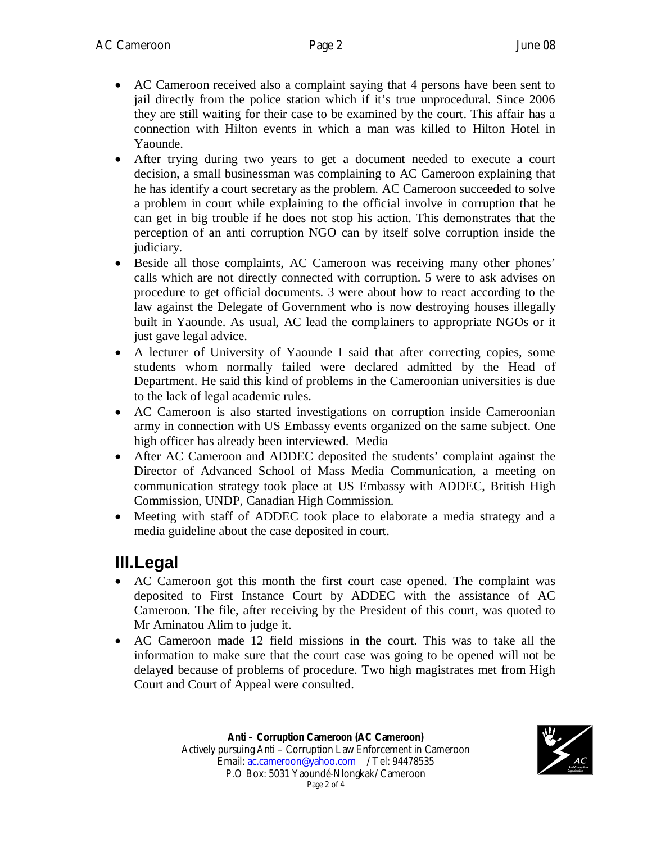- AC Cameroon received also a complaint saying that 4 persons have been sent to jail directly from the police station which if it's true unprocedural. Since 2006 they are still waiting for their case to be examined by the court. This affair has a connection with Hilton events in which a man was killed to Hilton Hotel in Yaounde.
- After trying during two years to get a document needed to execute a court decision, a small businessman was complaining to AC Cameroon explaining that he has identify a court secretary as the problem. AC Cameroon succeeded to solve a problem in court while explaining to the official involve in corruption that he can get in big trouble if he does not stop his action. This demonstrates that the perception of an anti corruption NGO can by itself solve corruption inside the judiciary.
- Beside all those complaints, AC Cameroon was receiving many other phones' calls which are not directly connected with corruption. 5 were to ask advises on procedure to get official documents. 3 were about how to react according to the law against the Delegate of Government who is now destroying houses illegally built in Yaounde. As usual, AC lead the complainers to appropriate NGOs or it just gave legal advice.
- A lecturer of University of Yaounde I said that after correcting copies, some students whom normally failed were declared admitted by the Head of Department. He said this kind of problems in the Cameroonian universities is due to the lack of legal academic rules.
- AC Cameroon is also started investigations on corruption inside Cameroonian army in connection with US Embassy events organized on the same subject. One high officer has already been interviewed. Media
- After AC Cameroon and ADDEC deposited the students' complaint against the Director of Advanced School of Mass Media Communication, a meeting on communication strategy took place at US Embassy with ADDEC, British High Commission, UNDP, Canadian High Commission.
- Meeting with staff of ADDEC took place to elaborate a media strategy and a media guideline about the case deposited in court.

### **III.Legal**

- AC Cameroon got this month the first court case opened. The complaint was deposited to First Instance Court by ADDEC with the assistance of AC Cameroon. The file, after receiving by the President of this court, was quoted to Mr Aminatou Alim to judge it.
- AC Cameroon made 12 field missions in the court. This was to take all the information to make sure that the court case was going to be opened will not be delayed because of problems of procedure. Two high magistrates met from High Court and Court of Appeal were consulted.

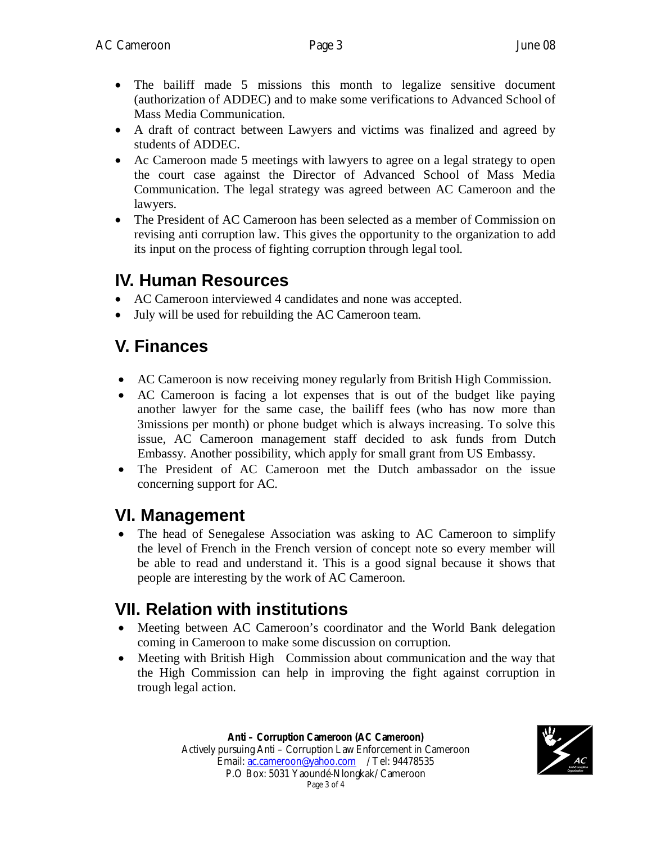- The bailiff made 5 missions this month to legalize sensitive document (authorization of ADDEC) and to make some verifications to Advanced School of Mass Media Communication.
- A draft of contract between Lawyers and victims was finalized and agreed by students of ADDEC.
- Ac Cameroon made 5 meetings with lawyers to agree on a legal strategy to open the court case against the Director of Advanced School of Mass Media Communication. The legal strategy was agreed between AC Cameroon and the lawyers.
- The President of AC Cameroon has been selected as a member of Commission on revising anti corruption law. This gives the opportunity to the organization to add its input on the process of fighting corruption through legal tool.

### **IV. Human Resources**

- AC Cameroon interviewed 4 candidates and none was accepted.
- July will be used for rebuilding the AC Cameroon team.

# **V. Finances**

- AC Cameroon is now receiving money regularly from British High Commission.
- AC Cameroon is facing a lot expenses that is out of the budget like paying another lawyer for the same case, the bailiff fees (who has now more than 3missions per month) or phone budget which is always increasing. To solve this issue, AC Cameroon management staff decided to ask funds from Dutch Embassy. Another possibility, which apply for small grant from US Embassy.
- The President of AC Cameroon met the Dutch ambassador on the issue concerning support for AC.

# **VI. Management**

• The head of Senegalese Association was asking to AC Cameroon to simplify the level of French in the French version of concept note so every member will be able to read and understand it. This is a good signal because it shows that people are interesting by the work of AC Cameroon.

# **VII. Relation with institutions**

- Meeting between AC Cameroon's coordinator and the World Bank delegation coming in Cameroon to make some discussion on corruption.
- Meeting with British High Commission about communication and the way that the High Commission can help in improving the fight against corruption in trough legal action.